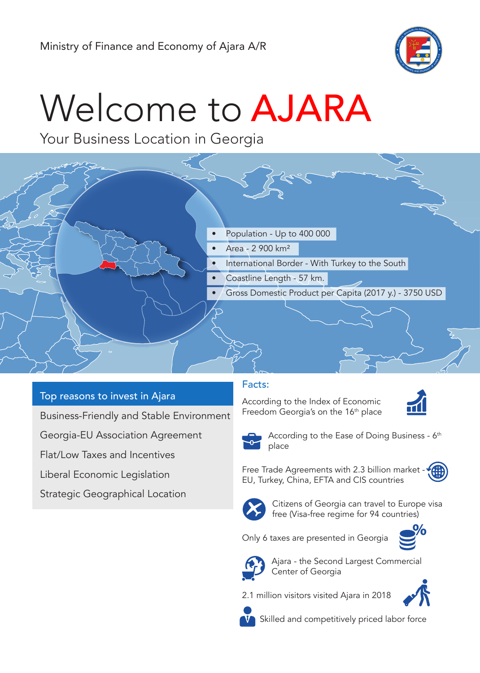

# Welcome to AJARA

Your Business Location in Georgia



- Area 2 900 km²
- International Border With Turkey to the South
	- Coastline Length 57 km.
- Gross Domestic Product per Capita (2017 y.) 3750 USD

## Top reasons to invest in Ajara

Business-Friendly and Stable Environment

Georgia-EU Association Agreement

Flat/Low Taxes and Incentives

Liberal Economic Legislation

Strategic Geographical Location

## Facts:

According to the Index of Economic Freedom Georgia's on the 16<sup>th</sup> place





According to the Ease of Doing Business - 6<sup>th</sup> place

Free Trade Agreements with 2.3 billion market EU, Turkey, China, EFTA and CIS countries





Citizens of Georgia can travel to Europe visa free (Visa-free regime for 94 countries)



Only 6 taxes are presented in Georgia



Ajara - the Second Largest Commercial Center of Georgia

2.1 million visitors visited Ajara in 2018





Skilled and competitively priced labor force